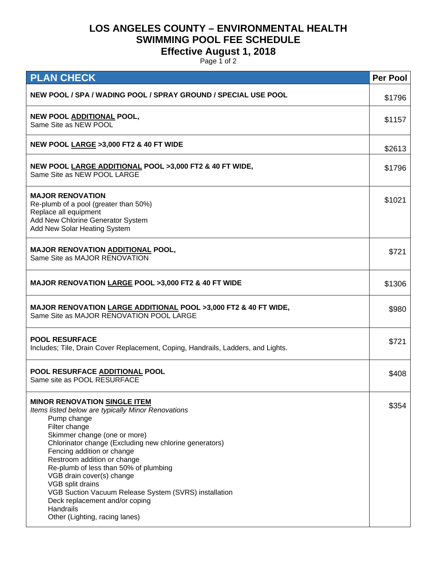## **LOS ANGELES COUNTY – ENVIRONMENTAL HEALTH SWIMMING POOL FEE SCHEDULE**

## **Effective August 1, 2018**

Page 1 of 2

| <b>PLAN CHECK</b>                                                                                                                                                                                                                                                                                                                                                                                                                                                                                                    | <b>Per Pool</b> |
|----------------------------------------------------------------------------------------------------------------------------------------------------------------------------------------------------------------------------------------------------------------------------------------------------------------------------------------------------------------------------------------------------------------------------------------------------------------------------------------------------------------------|-----------------|
| NEW POOL / SPA / WADING POOL / SPRAY GROUND / SPECIAL USE POOL                                                                                                                                                                                                                                                                                                                                                                                                                                                       | \$1796          |
| NEW POOL ADDITIONAL POOL,<br>Same Site as NEW POOL                                                                                                                                                                                                                                                                                                                                                                                                                                                                   | \$1157          |
| NEW POOL LARGE > 3,000 FT2 & 40 FT WIDE                                                                                                                                                                                                                                                                                                                                                                                                                                                                              | \$2613          |
| NEW POOL LARGE ADDITIONAL POOL >3,000 FT2 & 40 FT WIDE,<br>Same Site as NEW POOL LARGE                                                                                                                                                                                                                                                                                                                                                                                                                               | \$1796          |
| <b>MAJOR RENOVATION</b><br>Re-plumb of a pool (greater than 50%)<br>Replace all equipment<br>Add New Chlorine Generator System<br>Add New Solar Heating System                                                                                                                                                                                                                                                                                                                                                       | \$1021          |
| <b>MAJOR RENOVATION ADDITIONAL POOL,</b><br>Same Site as MAJOR RENOVATION                                                                                                                                                                                                                                                                                                                                                                                                                                            | \$721           |
| MAJOR RENOVATION LARGE POOL >3,000 FT2 & 40 FT WIDE                                                                                                                                                                                                                                                                                                                                                                                                                                                                  | \$1306          |
| <b>MAJOR RENOVATION LARGE ADDITIONAL POOL &gt;3,000 FT2 &amp; 40 FT WIDE,</b><br>Same Site as MAJOR RENOVATION POOL LARGE                                                                                                                                                                                                                                                                                                                                                                                            | \$980           |
| <b>POOL RESURFACE</b><br>Includes; Tile, Drain Cover Replacement, Coping, Handrails, Ladders, and Lights.                                                                                                                                                                                                                                                                                                                                                                                                            | \$721           |
| POOL RESURFACE ADDITIONAL POOL<br>Same site as POOL RESURFACE                                                                                                                                                                                                                                                                                                                                                                                                                                                        | \$408           |
| <b>MINOR RENOVATION SINGLE ITEM</b><br>Items listed below are typically Minor Renovations<br>Pump change<br>Filter change<br>Skimmer change (one or more)<br>Chlorinator change (Excluding new chlorine generators)<br>Fencing addition or change<br>Restroom addition or change<br>Re-plumb of less than 50% of plumbing<br>VGB drain cover(s) change<br>VGB split drains<br>VGB Suction Vacuum Release System (SVRS) installation<br>Deck replacement and/or coping<br>Handrails<br>Other (Lighting, racing lanes) | \$354           |